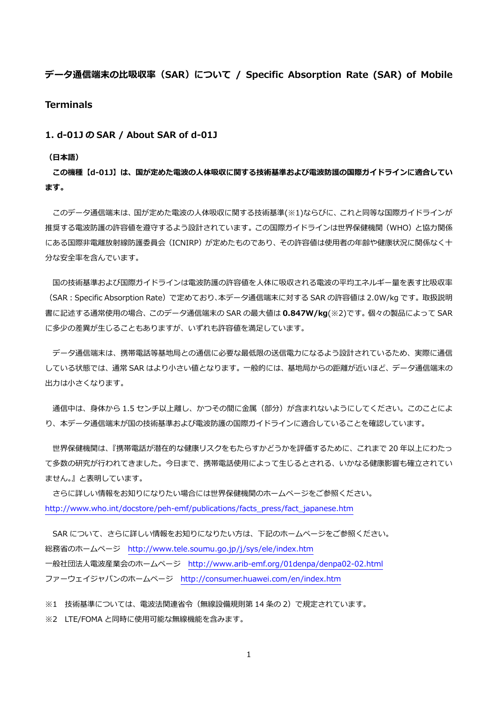**データ通信端末の⽐吸収率(SAR)について / Specific Absorption Rate (SAR) of Mobile Terminals** 

**1. d-01J の SAR / About SAR of d-01J** 

**(⽇本語)** 

**この機種【d-01J】は、国が定めた電波の⼈体吸収に関する技術基準および電波防護の国際ガイドラインに適合してい ます。** 

 このデータ通信端末は、国が定めた電波の⼈体吸収に関する技術基準(※1)ならびに、これと同等な国際ガイドラインが 推奨する電波防護の許容値を遵守するよう設計されています。この国際ガイドラインは世界保健機関(WHO)と協力関係 にある国際非電離放射線防護委員会(ICNIRP)が定めたものであり、その許容値は使用者の年齢や健康状況に関係なく十 分な安全率を含んでいます。

国の技術基準および国際ガイドラインは電波防護の許容値を人体に吸収される電波の平均エネルギー量を表す比吸収率 (SAR:Specific Absorption Rate)で定めており、本データ通信端末に対する SAR の許容値は 2.0W/kg です。取扱説明 書に記述する通常使⽤の場合、このデータ通信端末の SAR の最⼤値は **0.847W/kg**(※2)です。個々の製品によって SAR に多少の差異が生じることもありますが、いずれも許容値を満足しています。

 データ通信端末は、携帯電話等基地局との通信に必要な最低限の送信電⼒になるよう設計されているため、実際に通信 している状態では、通常 SAR はより⼩さい値となります。⼀般的には、基地局からの距離が近いほど、データ通信端末の 出力は小さくなります。

通信中は、身体から 1.5 センチ以上離し、かつその間に金属 (部分) が含まれないようにしてください。このことによ り、本データ通信端末が国の技術基準および電波防護の国際ガイドラインに適合していることを確認しています。

 世界保健機関は、『携帯電話が潜在的な健康リスクをもたらすかどうかを評価するために、これまで 20 年以上にわたっ て多数の研究が行われてきました。今日まで、携帯電話使用によって生じるとされる、いかなる健康影響も確立されてい ません。』と表明しています。

 さらに詳しい情報をお知りになりたい場合には世界保健機関のホームページをご参照ください。 http://www.who.int/docstore/peh-emf/publications/facts\_press/fact\_japanese.htm

SAR について、さらに詳しい情報をお知りになりたい方は、下記のホームページをご参照ください。 総務省のホームページ http://www.tele.soumu.go.jp/j/sys/ele/index.htm ⼀般社団法⼈電波産業会のホームページ http://www.arib-emf.org/01denpa/denpa02-02.html ファーウェイジャパンのホームページ http://consumer.huawei.com/en/index.htm

※1 技術基準については、電波法関連省令(無線設備規則第 14 条の 2)で規定されています。

※2 LTE/FOMA と同時に使用可能な無線機能を含みます。